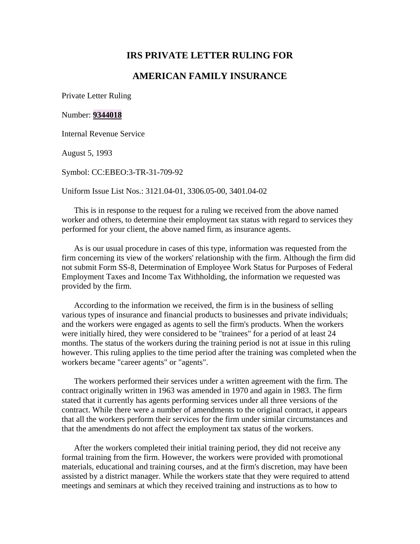## **IRS PRIVATE LETTER RULING FOR**

## **AMERICAN FAMILY INSURANCE**

Private Letter Ruling

## Number: **[9344018](http://www.legalbitstream.com/scripts/isyswebext.dll?op=get&uri=/isysquery/irl79c6/1/doc#hit1#hit1)**

Internal Revenue Service

August 5, 1993

Symbol: CC:EBEO:3-TR-31-709-92

Uniform Issue List Nos.: 3121.04-01, 3306.05-00, 3401.04-02

This is in response to the request for a ruling we received from the above named worker and others, to determine their employment tax status with regard to services they performed for your client, the above named firm, as insurance agents.

As is our usual procedure in cases of this type, information was requested from the firm concerning its view of the workers' relationship with the firm. Although the firm did not submit Form SS-8, Determination of Employee Work Status for Purposes of Federal Employment Taxes and Income Tax Withholding, the information we requested was provided by the firm.

According to the information we received, the firm is in the business of selling various types of insurance and financial products to businesses and private individuals; and the workers were engaged as agents to sell the firm's products. When the workers were initially hired, they were considered to be "trainees" for a period of at least 24 months. The status of the workers during the training period is not at issue in this ruling however. This ruling applies to the time period after the training was completed when the workers became "career agents" or "agents".

The workers performed their services under a written agreement with the firm. The contract originally written in 1963 was amended in 1970 and again in 1983. The firm stated that it currently has agents performing services under all three versions of the contract. While there were a number of amendments to the original contract, it appears that all the workers perform their services for the firm under similar circumstances and that the amendments do not affect the employment tax status of the workers.

After the workers completed their initial training period, they did not receive any formal training from the firm. However, the workers were provided with promotional materials, educational and training courses, and at the firm's discretion, may have been assisted by a district manager. While the workers state that they were required to attend meetings and seminars at which they received training and instructions as to how to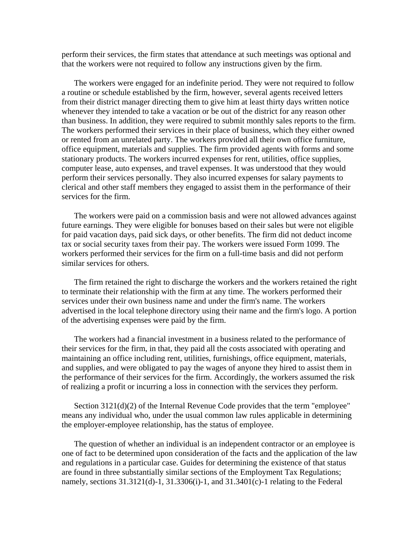perform their services, the firm states that attendance at such meetings was optional and that the workers were not required to follow any instructions given by the firm.

The workers were engaged for an indefinite period. They were not required to follow a routine or schedule established by the firm, however, several agents received letters from their district manager directing them to give him at least thirty days written notice whenever they intended to take a vacation or be out of the district for any reason other than business. In addition, they were required to submit monthly sales reports to the firm. The workers performed their services in their place of business, which they either owned or rented from an unrelated party. The workers provided all their own office furniture, office equipment, materials and supplies. The firm provided agents with forms and some stationary products. The workers incurred expenses for rent, utilities, office supplies, computer lease, auto expenses, and travel expenses. It was understood that they would perform their services personally. They also incurred expenses for salary payments to clerical and other staff members they engaged to assist them in the performance of their services for the firm.

The workers were paid on a commission basis and were not allowed advances against future earnings. They were eligible for bonuses based on their sales but were not eligible for paid vacation days, paid sick days, or other benefits. The firm did not deduct income tax or social security taxes from their pay. The workers were issued Form 1099. The workers performed their services for the firm on a full-time basis and did not perform similar services for others.

The firm retained the right to discharge the workers and the workers retained the right to terminate their relationship with the firm at any time. The workers performed their services under their own business name and under the firm's name. The workers advertised in the local telephone directory using their name and the firm's logo. A portion of the advertising expenses were paid by the firm.

The workers had a financial investment in a business related to the performance of their services for the firm, in that, they paid all the costs associated with operating and maintaining an office including rent, utilities, furnishings, office equipment, materials, and supplies, and were obligated to pay the wages of anyone they hired to assist them in the performance of their services for the firm. Accordingly, the workers assumed the risk of realizing a profit or incurring a loss in connection with the services they perform.

Section 3121(d)(2) of the Internal Revenue Code provides that the term "employee" means any individual who, under the usual common law rules applicable in determining the employer-employee relationship, has the status of employee.

The question of whether an individual is an independent contractor or an employee is one of fact to be determined upon consideration of the facts and the application of the law and regulations in a particular case. Guides for determining the existence of that status are found in three substantially similar sections of the Employment Tax Regulations; namely, sections 31.3121(d)-1, 31.3306(i)-1, and 31.3401(c)-1 relating to the Federal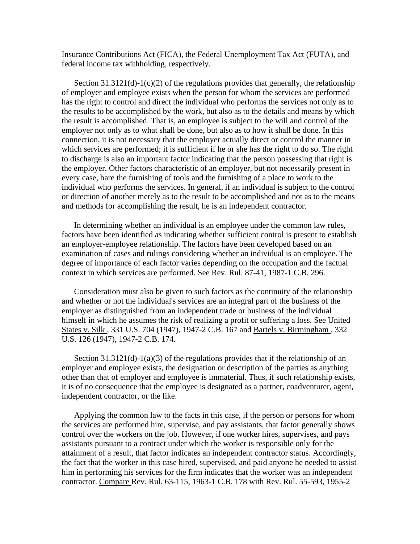Insurance Contributions Act (FICA), the Federal Unemployment Tax Act (FUTA), and federal income tax withholding, respectively.

Section  $31.3121(d)-1(c)(2)$  of the regulations provides that generally, the relationship of employer and employee exists when the person for whom the services are performed has the right to control and direct the individual who performs the services not only as to the results to be accomplished by the work, but also as to the details and means by which the result is accomplished. That is, an employee is subject to the will and control of the employer not only as to what shall be done, but also as to how it shall be done. In this connection, it is not necessary that the employer actually direct or control the manner in which services are performed; it is sufficient if he or she has the right to do so. The right to discharge is also an important factor indicating that the person possessing that right is the employer. Other factors characteristic of an employer, but not necessarily present in every case, bare the furnishing of tools and the furnishing of a place to work to the individual who performs the services. In general, if an individual is subject to the control or direction of another merely as to the result to be accomplished and not as to the means and methods for accomplishing the result, he is an independent contractor.

In determining whether an individual is an employee under the common law rules, factors have been identified as indicating whether sufficient control is present to establish an employer-employee relationship. The factors have been developed based on an examination of cases and rulings considering whether an individual is an employee. The degree of importance of each factor varies depending on the occupation and the factual context in which services are performed. See Rev. Rul. 87-41, 1987-1 C.B. 296.

Consideration must also be given to such factors as the continuity of the relationship and whether or not the individual's services are an integral part of the business of the employer as distinguished from an independent trade or business of the individual himself in which he assumes the risk of realizing a profit or suffering a loss. See United States v. Silk , 331 U.S. 704 (1947), 1947-2 C.B. 167 and Bartels v. Birmingham , 332 U.S. 126 (1947), 1947-2 C.B. 174.

Section  $31.3121(d)-1(a)(3)$  of the regulations provides that if the relationship of an employer and employee exists, the designation or description of the parties as anything other than that of employer and employee is immaterial. Thus, if such relationship exists, it is of no consequence that the employee is designated as a partner, coadventurer, agent, independent contractor, or the like.

Applying the common law to the facts in this case, if the person or persons for whom the services are performed hire, supervise, and pay assistants, that factor generally shows control over the workers on the job. However, if one worker hires, supervises, and pays assistants pursuant to a contract under which the worker is responsible only for the attainment of a result, that factor indicates an independent contractor status. Accordingly, the fact that the worker in this case hired, supervised, and paid anyone he needed to assist him in performing his services for the firm indicates that the worker was an independent contractor. Compare Rev. Rul. 63-115, 1963-1 C.B. 178 with Rev. Rul. 55-593, 1955-2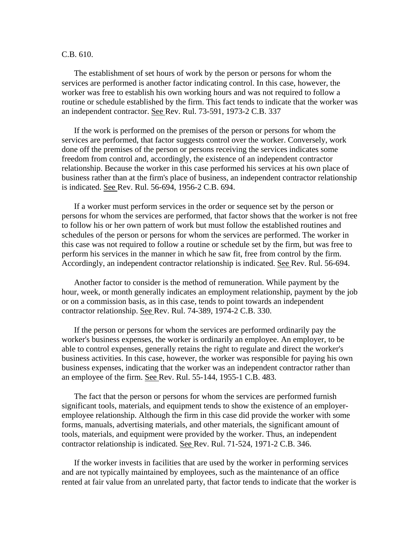## C.B. 610.

The establishment of set hours of work by the person or persons for whom the services are performed is another factor indicating control. In this case, however, the worker was free to establish his own working hours and was not required to follow a routine or schedule established by the firm. This fact tends to indicate that the worker was an independent contractor. See Rev. Rul. 73-591, 1973-2 C.B. 337

If the work is performed on the premises of the person or persons for whom the services are performed, that factor suggests control over the worker. Conversely, work done off the premises of the person or persons receiving the services indicates some freedom from control and, accordingly, the existence of an independent contractor relationship. Because the worker in this case performed his services at his own place of business rather than at the firm's place of business, an independent contractor relationship is indicated. See Rev. Rul. 56-694, 1956-2 C.B. 694.

If a worker must perform services in the order or sequence set by the person or persons for whom the services are performed, that factor shows that the worker is not free to follow his or her own pattern of work but must follow the established routines and schedules of the person or persons for whom the services are performed. The worker in this case was not required to follow a routine or schedule set by the firm, but was free to perform his services in the manner in which he saw fit, free from control by the firm. Accordingly, an independent contractor relationship is indicated. See Rev. Rul. 56-694.

Another factor to consider is the method of remuneration. While payment by the hour, week, or month generally indicates an employment relationship, payment by the job or on a commission basis, as in this case, tends to point towards an independent contractor relationship. See Rev. Rul. 74-389, 1974-2 C.B. 330.

If the person or persons for whom the services are performed ordinarily pay the worker's business expenses, the worker is ordinarily an employee. An employer, to be able to control expenses, generally retains the right to regulate and direct the worker's business activities. In this case, however, the worker was responsible for paying his own business expenses, indicating that the worker was an independent contractor rather than an employee of the firm. See Rev. Rul. 55-144, 1955-1 C.B. 483.

The fact that the person or persons for whom the services are performed furnish significant tools, materials, and equipment tends to show the existence of an employeremployee relationship. Although the firm in this case did provide the worker with some forms, manuals, advertising materials, and other materials, the significant amount of tools, materials, and equipment were provided by the worker. Thus, an independent contractor relationship is indicated. See Rev. Rul. 71-524, 1971-2 C.B. 346.

If the worker invests in facilities that are used by the worker in performing services and are not typically maintained by employees, such as the maintenance of an office rented at fair value from an unrelated party, that factor tends to indicate that the worker is